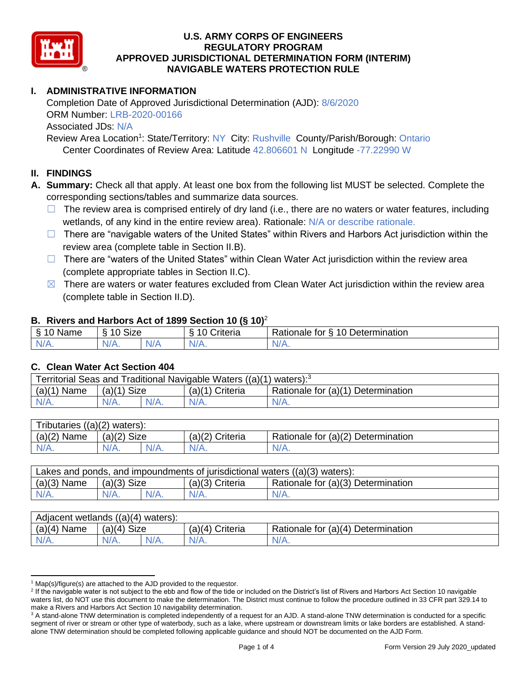

# **I. ADMINISTRATIVE INFORMATION**

Completion Date of Approved Jurisdictional Determination (AJD): 8/6/2020 ORM Number: LRB-2020-00166 Associated JDs: N/A Review Area Location<sup>1</sup>: State/Territory: NY City: Rushville County/Parish/Borough: Ontario

Center Coordinates of Review Area: Latitude 42.806601 N Longitude -77.22990 W

### **II. FINDINGS**

**A. Summary:** Check all that apply. At least one box from the following list MUST be selected. Complete the corresponding sections/tables and summarize data sources.

- $\Box$  The review area is comprised entirely of dry land (i.e., there are no waters or water features, including wetlands, of any kind in the entire review area). Rationale: N/A or describe rationale.
- $\Box$  There are "navigable waters of the United States" within Rivers and Harbors Act jurisdiction within the review area (complete table in Section II.B).
- $\Box$  There are "waters of the United States" within Clean Water Act jurisdiction within the review area (complete appropriate tables in Section II.C).
- $\boxtimes$  There are waters or water features excluded from Clean Water Act jurisdiction within the review area (complete table in Section II.D).

#### **B. Rivers and Harbors Act of 1899 Section 10 (§ 10)**<sup>2</sup>

| $\cdot$                    |                      |   |                                |                                                      |  |  |  |  |
|----------------------------|----------------------|---|--------------------------------|------------------------------------------------------|--|--|--|--|
| $\sim$<br>100<br>Name<br>s | $\sim$<br>10<br>SIZE |   | $\cdots$<br>10<br>-<br>;nteria | Determination<br>$\sqrt{ }$<br>-<br>tor<br>Rationale |  |  |  |  |
| $N/A$ .                    | NI/<br>97 / TV +     | . | $N/A$ .                        | N/A.                                                 |  |  |  |  |

#### **C. Clean Water Act Section 404**

| Territorial Seas and Traditional Navigable Waters $((a)(1)$ waters): <sup>3</sup> |                       |  |                   |                                    |  |  |  |
|-----------------------------------------------------------------------------------|-----------------------|--|-------------------|------------------------------------|--|--|--|
| (a)(1)<br>Name                                                                    | <b>Size</b><br>(a)(1) |  | $(a)(1)$ Criteria | Rationale for (a)(1) Determination |  |  |  |
| IV/A.                                                                             | $N/A$ .               |  | N/A.              | $N/A$ .                            |  |  |  |

| Tributaries,<br>$((a)(2)$ waters): |                       |  |                    |                                    |  |  |  |
|------------------------------------|-----------------------|--|--------------------|------------------------------------|--|--|--|
| (a)(2)<br>Name                     | <b>Size</b><br>(a)(2) |  | (a)(2)<br>Criteria | Rationale for (a)(2) Determination |  |  |  |
| $N/A$ .                            | $N/A$ .               |  | $N/A$ .            | N/A.                               |  |  |  |

| Lakes and ponds, and impoundments of jurisdictional waters $((a)(3)$ waters): |               |         |                   |                                    |  |  |
|-------------------------------------------------------------------------------|---------------|---------|-------------------|------------------------------------|--|--|
| $(a)(3)$ Name                                                                 | $(a)(3)$ Size |         | $(a)(3)$ Criteria | Rationale for (a)(3) Determination |  |  |
| $N/A$ .                                                                       | $N/A$ .       | $N/A$ . | $N/A$ .           | $N/A$ .                            |  |  |

| Adjacent wetlands<br>((a)(4)<br>waters): |                       |         |                    |                                    |  |  |  |
|------------------------------------------|-----------------------|---------|--------------------|------------------------------------|--|--|--|
| (a)(4)<br>Name                           | <b>Size</b><br>(a)(4) |         | (a)(4)<br>Criteria | Rationale for (a)(4) Determination |  |  |  |
| $N/A$ .                                  | $N/A$ .               | $N/A$ . | $N/A$ .            | $N/A$ .                            |  |  |  |

 $1$  Map(s)/figure(s) are attached to the AJD provided to the requestor.

<sup>&</sup>lt;sup>2</sup> If the navigable water is not subject to the ebb and flow of the tide or included on the District's list of Rivers and Harbors Act Section 10 navigable waters list, do NOT use this document to make the determination. The District must continue to follow the procedure outlined in 33 CFR part 329.14 to make a Rivers and Harbors Act Section 10 navigability determination.

<sup>&</sup>lt;sup>3</sup> A stand-alone TNW determination is completed independently of a request for an AJD. A stand-alone TNW determination is conducted for a specific segment of river or stream or other type of waterbody, such as a lake, where upstream or downstream limits or lake borders are established. A standalone TNW determination should be completed following applicable guidance and should NOT be documented on the AJD Form.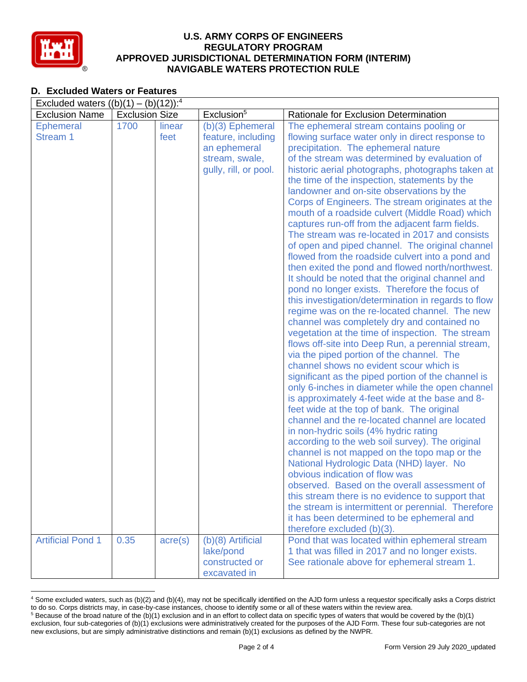

## **D. Excluded Waters or Features**

| Excluded waters $((b)(1) - (b)(12))^{-4}$ |                       |                  |                                                                                                     |                                                                                                                                                                                                                                                                                                                                                                                                                                                                                                                                                                                                                                                                                                                                                                                                                                                                                                                                                                                                                                                                                                                                                                                                                                                                                                                                                                                                                                          |  |  |  |
|-------------------------------------------|-----------------------|------------------|-----------------------------------------------------------------------------------------------------|------------------------------------------------------------------------------------------------------------------------------------------------------------------------------------------------------------------------------------------------------------------------------------------------------------------------------------------------------------------------------------------------------------------------------------------------------------------------------------------------------------------------------------------------------------------------------------------------------------------------------------------------------------------------------------------------------------------------------------------------------------------------------------------------------------------------------------------------------------------------------------------------------------------------------------------------------------------------------------------------------------------------------------------------------------------------------------------------------------------------------------------------------------------------------------------------------------------------------------------------------------------------------------------------------------------------------------------------------------------------------------------------------------------------------------------|--|--|--|
| <b>Exclusion Name</b>                     | <b>Exclusion Size</b> |                  | Exclusion <sup>5</sup>                                                                              | Rationale for Exclusion Determination                                                                                                                                                                                                                                                                                                                                                                                                                                                                                                                                                                                                                                                                                                                                                                                                                                                                                                                                                                                                                                                                                                                                                                                                                                                                                                                                                                                                    |  |  |  |
| <b>Ephemeral</b><br>Stream 1              | 1700                  | linear<br>feet   | $(b)(3)$ Ephemeral<br>feature, including<br>an ephemeral<br>stream, swale,<br>gully, rill, or pool. | The ephemeral stream contains pooling or<br>flowing surface water only in direct response to<br>precipitation. The ephemeral nature<br>of the stream was determined by evaluation of<br>historic aerial photographs, photographs taken at<br>the time of the inspection, statements by the<br>landowner and on-site observations by the<br>Corps of Engineers. The stream originates at the<br>mouth of a roadside culvert (Middle Road) which<br>captures run-off from the adjacent farm fields.<br>The stream was re-located in 2017 and consists<br>of open and piped channel. The original channel<br>flowed from the roadside culvert into a pond and<br>then exited the pond and flowed north/northwest.<br>It should be noted that the original channel and<br>pond no longer exists. Therefore the focus of<br>this investigation/determination in regards to flow<br>regime was on the re-located channel. The new<br>channel was completely dry and contained no<br>vegetation at the time of inspection. The stream<br>flows off-site into Deep Run, a perennial stream,<br>via the piped portion of the channel. The<br>channel shows no evident scour which is<br>significant as the piped portion of the channel is<br>only 6-inches in diameter while the open channel<br>is approximately 4-feet wide at the base and 8-<br>feet wide at the top of bank. The original<br>channel and the re-located channel are located |  |  |  |
|                                           |                       |                  |                                                                                                     | in non-hydric soils (4% hydric rating<br>according to the web soil survey). The original<br>channel is not mapped on the topo map or the<br>National Hydrologic Data (NHD) layer. No<br>obvious indication of flow was                                                                                                                                                                                                                                                                                                                                                                                                                                                                                                                                                                                                                                                                                                                                                                                                                                                                                                                                                                                                                                                                                                                                                                                                                   |  |  |  |
|                                           |                       |                  |                                                                                                     | observed. Based on the overall assessment of<br>this stream there is no evidence to support that<br>the stream is intermittent or perennial. Therefore<br>it has been determined to be ephemeral and<br>therefore excluded (b)(3).                                                                                                                                                                                                                                                                                                                                                                                                                                                                                                                                                                                                                                                                                                                                                                                                                                                                                                                                                                                                                                                                                                                                                                                                       |  |  |  |
| <b>Artificial Pond 1</b>                  | 0.35                  | $\text{acre}(s)$ | $(b)(8)$ Artificial<br>lake/pond<br>constructed or<br>excavated in                                  | Pond that was located within ephemeral stream<br>1 that was filled in 2017 and no longer exists.<br>See rationale above for ephemeral stream 1.                                                                                                                                                                                                                                                                                                                                                                                                                                                                                                                                                                                                                                                                                                                                                                                                                                                                                                                                                                                                                                                                                                                                                                                                                                                                                          |  |  |  |

<sup>4</sup> Some excluded waters, such as (b)(2) and (b)(4), may not be specifically identified on the AJD form unless a requestor specifically asks a Corps district to do so. Corps districts may, in case-by-case instances, choose to identify some or all of these waters within the review area.  $5$  Because of the broad nature of the (b)(1) exclusion and in an effort to collect data on specific types of waters that would be covered by the (b)(1)

exclusion, four sub-categories of (b)(1) exclusions were administratively created for the purposes of the AJD Form. These four sub-categories are not new exclusions, but are simply administrative distinctions and remain (b)(1) exclusions as defined by the NWPR.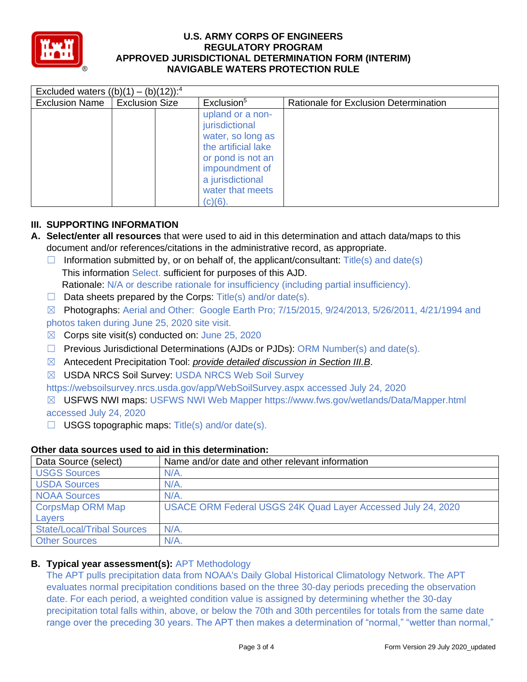

| Excluded waters $((b)(1) - (b)(12))$ : <sup>4</sup> |                       |                                                                                                                                                                             |                                       |  |  |  |  |
|-----------------------------------------------------|-----------------------|-----------------------------------------------------------------------------------------------------------------------------------------------------------------------------|---------------------------------------|--|--|--|--|
| <b>Exclusion Name</b>                               | <b>Exclusion Size</b> | Exclusion <sup>5</sup>                                                                                                                                                      | Rationale for Exclusion Determination |  |  |  |  |
|                                                     |                       | upland or a non-<br>jurisdictional<br>water, so long as<br>the artificial lake<br>or pond is not an<br>impoundment of<br>a jurisdictional<br>water that meets<br>$(c)(6)$ . |                                       |  |  |  |  |

# **III. SUPPORTING INFORMATION**

- **A. Select/enter all resources** that were used to aid in this determination and attach data/maps to this document and/or references/citations in the administrative record, as appropriate.
	- $\Box$  Information submitted by, or on behalf of, the applicant/consultant: Title(s) and date(s) This information Select. sufficient for purposes of this AJD.
	- Rationale: N/A or describe rationale for insufficiency (including partial insufficiency).
	- $\Box$  Data sheets prepared by the Corps: Title(s) and/or date(s).
	- ☒ Photographs: Aerial and Other: Google Earth Pro; 7/15/2015, 9/24/2013, 5/26/2011, 4/21/1994 and photos taken during June 25, 2020 site visit.
	- ☒ Corps site visit(s) conducted on: June 25, 2020
	- $\Box$  Previous Jurisdictional Determinations (AJDs or PJDs): ORM Number(s) and date(s).
	- ☒ Antecedent Precipitation Tool: *provide detailed discussion in Section III.B*.
	- ☒ USDA NRCS Soil Survey: USDA NRCS Web Soil Survey

https://websoilsurvey.nrcs.usda.gov/app/WebSoilSurvey.aspx accessed July 24, 2020

☒ USFWS NWI maps: USFWS NWI Web Mapper https://www.fws.gov/wetlands/Data/Mapper.html accessed July 24, 2020

 $\Box$  USGS topographic maps: Title(s) and/or date(s).

| Data Source (select)              | Name and/or date and other relevant information              |
|-----------------------------------|--------------------------------------------------------------|
| <b>USGS Sources</b>               | $N/A$ .                                                      |
| <b>USDA Sources</b>               | $N/A$ .                                                      |
| <b>NOAA Sources</b>               | $N/A$ .                                                      |
| CorpsMap ORM Map                  | USACE ORM Federal USGS 24K Quad Layer Accessed July 24, 2020 |
| Layers                            |                                                              |
| <b>State/Local/Tribal Sources</b> | $N/A$ .                                                      |
| <b>Other Sources</b>              | $N/A$ .                                                      |

## **Other data sources used to aid in this determination:**

## **B. Typical year assessment(s):** APT Methodology

The APT pulls precipitation data from NOAA's Daily Global Historical Climatology Network. The APT evaluates normal precipitation conditions based on the three 30-day periods preceding the observation date. For each period, a weighted condition value is assigned by determining whether the 30-day precipitation total falls within, above, or below the 70th and 30th percentiles for totals from the same date range over the preceding 30 years. The APT then makes a determination of "normal," "wetter than normal,"